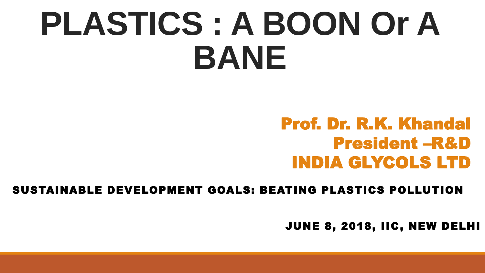# **PLASTICS : A BOON Or A BANE**

# Prof. Dr. R.K. Khandal President –R&D INDIA GLYCOLS LTD

SUSTAINABLE DEVELOPMENT GOALS: BEATING PLASTICS POLLUTION

JUNE 8, 2018, IIC, NEW DELHI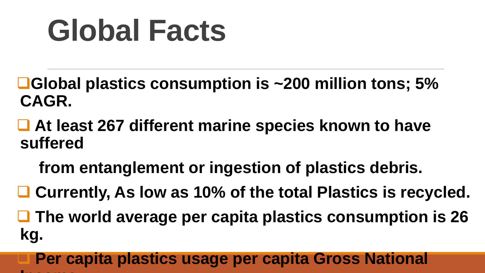# **Global Facts**

- **Global plastics consumption is ~200 million tons; 5% CAGR.**
- **At least 267 different marine species known to have suffered** 
	- **from entanglement or ingestion of plastics debris.**
- **Currently, As low as 10% of the total Plastics is recycled.**
- **The world average per capita plastics consumption is 26 kg.**
- **Per capita plastics usage per capita Gross National Income and the second state**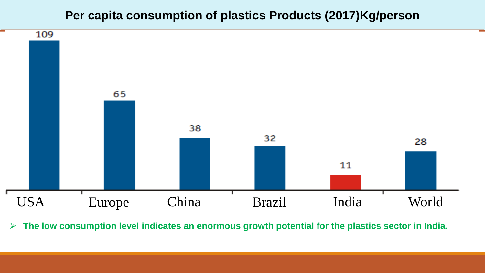#### **Per capita consumption of plastics Products (2017)Kg/person**



**The low consumption level indicates an enormous growth potential for the plastics sector in India.**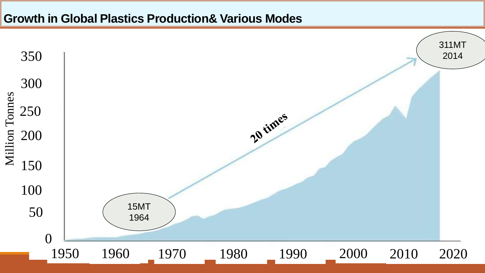#### **Growth in Global Plastics Production& Various Modes**

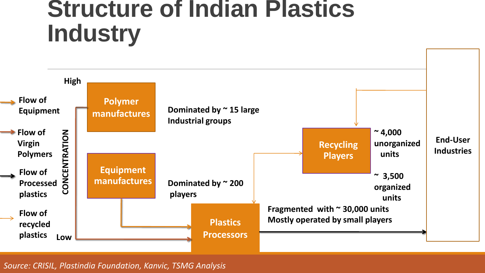# **Structure of Indian Plastics Industry**



*Source: CRISIL, Plastindia Foundation, Kanvic, TSMG Analysis*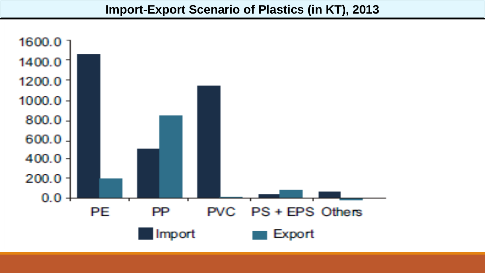#### **Import-Export Scenario of Plastics (in KT), 2013**

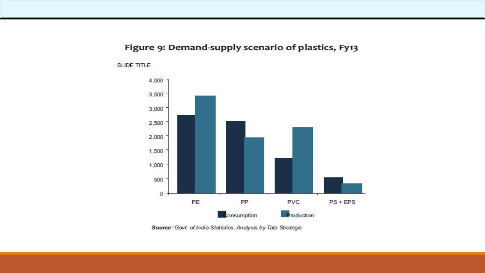#### Figure 9: Demand-supply scenario of plastics, Fy13



Source: Govt. of India Statistics, Analysis by Tata Strategic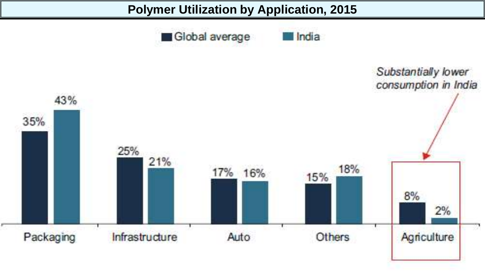

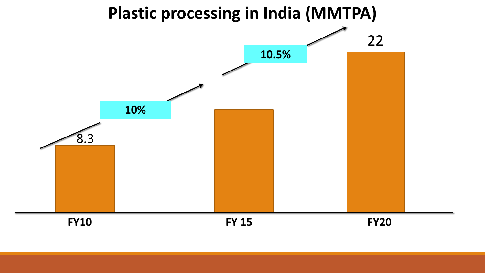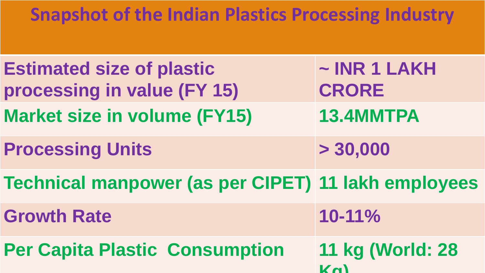# **Snapshot of the Indian Plastics Processing Industry**

| <b>Estimated size of plastic</b><br>processing in value (FY 15) | $\sim$ INR 1 LAKH<br><b>CRORE</b>    |
|-----------------------------------------------------------------|--------------------------------------|
| <b>Market size in volume (FY15)</b>                             | 13.4MMTPA                            |
| <b>Processing Units</b>                                         | > 30,000                             |
| <b>Technical manpower (as per CIPET) 11 lakh employees</b>      |                                      |
| <b>Growth Rate</b>                                              | 10-11%                               |
| <b>Per Capita Plastic Consumption</b>                           | 11 kg (World: 28<br>$K_{\mathbf{M}}$ |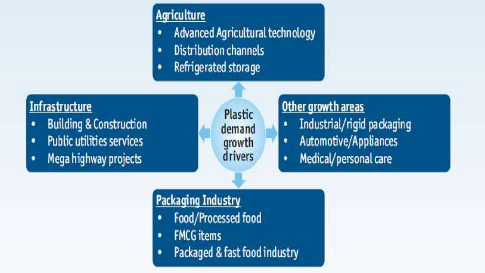- **Producture**<br>**Products demanded Agricultural technology**
- **Distribution channels** ٠
- Refrigerated storage ٠

# **Infrastructure**

- **Building & Construction** ٠
- **Public utilities services** ٠
- Mega highway projects ٠

Plastic demand growth drivers

### Other growth areas

٠

- Industrial/rigid packaging ٠
	- Automotive/Appliances
- Medical/personal care ٠

# **Packaging Industry**

- Food/Processed food ٠
- **FMCG** items ٠
- Packaged & fast food industry ٠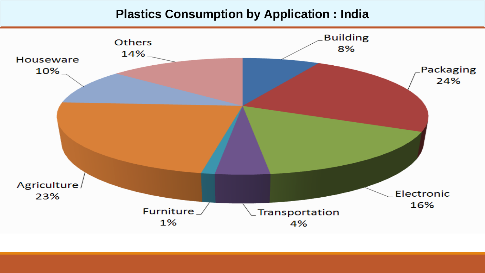#### **Plastics Consumption by Application : India**

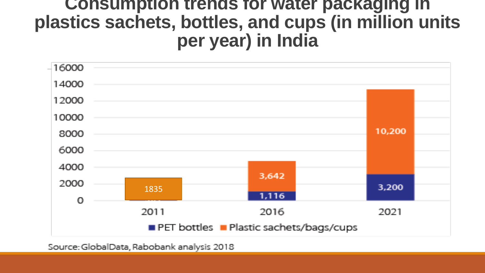# **Consumption trends for water packaging in plastics sachets, bottles, and cups (in million units per year) in India**



Source: GlobalData, Rabobank analysis 2018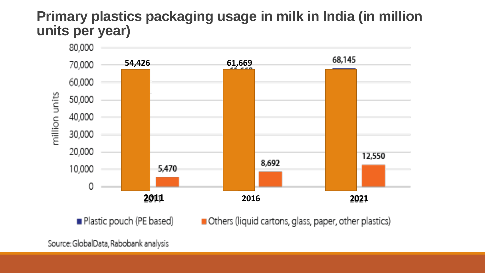#### **Primary plastics packaging usage in milk in India (in million units per year)**



Plastic pouch (PE based)

Others (liquid cartons, glass, paper, other plastics)

Source: GlobalData, Rabobank analysis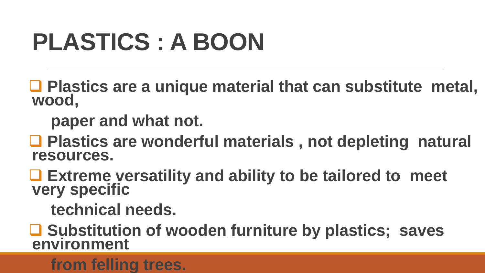# **PLASTICS : A BOON**

■ Plastics are a unique material that can substitute metal, **wood,** 

 **paper and what not.**

■ Plastics are wonderful materials, not depleting natural **resources.**

 **Extreme versatility and ability to be tailored to meet very specific** 

 **technical needs.**

 **Substitution of wooden furniture by plastics; saves environment** 

### **from felling trees.**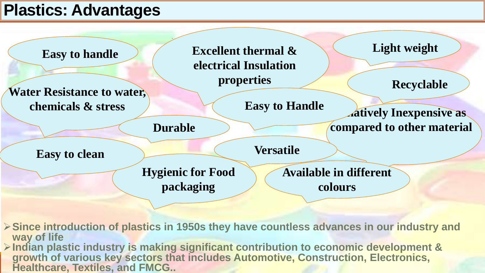# **Plastics: Advantages**

**Easy to handle**  $\bigotimes$  **Excellent thermal & Light weight electrical Insulation properties**

**Water Resistance to water,** 

**Durable**

**Easy to clean**

**Versatile**

**Easy to Handle**

**Hygienic for Food packaging**

**Available in different colours**

**≻ Since introduction of plastics in 1950s they have countless advances in our industry and way of life**

**Indian plastic industry is making significant contribution to economic development & growth of various key sectors that includes Automotive, Construction, Electronics, Healthcare, Textiles, and FMCG..**

**Recyclable**

**chemicals & stress** Easy to Handle **Atively Inexpensive as compared to other material**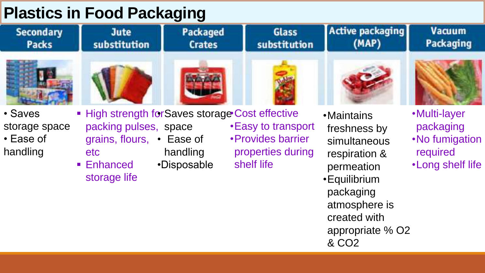# **Plastics in Food Packaging**

| idətiyə ili i ovu i dönayılığ                     |                                                                                                                                             |                                  |                                                                              |                                                                                                                                                                                           |                                                                               |  |  |
|---------------------------------------------------|---------------------------------------------------------------------------------------------------------------------------------------------|----------------------------------|------------------------------------------------------------------------------|-------------------------------------------------------------------------------------------------------------------------------------------------------------------------------------------|-------------------------------------------------------------------------------|--|--|
| <b>Secondary</b><br>Packs                         | <b>Jute</b><br>substitution                                                                                                                 | <b>Packaged</b><br><b>Crates</b> | <b>Glass</b><br>substitution                                                 | <b>Active packaging</b><br>(MAP)                                                                                                                                                          | <b>Vacuum</b><br><b>Packaging</b>                                             |  |  |
|                                                   |                                                                                                                                             |                                  |                                                                              |                                                                                                                                                                                           |                                                                               |  |  |
| • Saves<br>storage space<br>• Ease of<br>handling | ■ High strength for Saves storage Cost effective<br>packing pulses, space<br>grains, flours, • Ease of<br>etc<br>■ Enhanced<br>storage life | handling<br>•Disposable          | • Easy to transport<br>• Provides barrier<br>properties during<br>shelf life | • Maintains<br>freshness by<br>simultaneous<br>respiration &<br>permeation<br><b>• Equilibrium</b><br>packaging<br>atmosphere is<br>created with<br>appropriate % O2<br>& CO <sub>2</sub> | •Multi-layer<br>packaging<br>. No fumigation<br>required<br>. Long shelf life |  |  |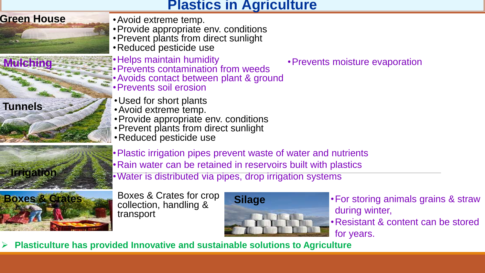#### **Plastics in Agriculture**



**Tunnels**

**Irrigation**

- •Avoid extreme temp.
- •Provide appropriate env. conditions
- •Prevent plants from direct sunlight
- •Reduced pesticide use
- •Helps maintain humidity
- •Prevents contamination from weeds
- •Avoids contact between plant & ground
- •Prevents soil erosion
- •Used for short plants
- •Avoid extreme temp.
- •Provide appropriate env. conditions
- •Prevent plants from direct sunlight
- •Reduced pesticide use
- •Plastic irrigation pipes prevent waste of water and nutrients •Rain water can be retained in reservoirs built with plastics
- •Water is distributed via pipes, drop irrigation systems



Boxes & Crates for crop collection, handling & transport



•For storing animals grains & straw during winter,

•Resistant & content can be stored for years.

**Plasticulture has provided Innovative and sustainable solutions to Agriculture**

•Prevents moisture evaporation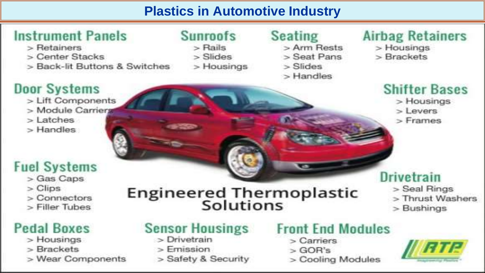### **Plastics in Automotive Industry**

**Engineered Thermoplastic<br>Solutions** 

# **Instrument Panels**

> Retainers

l.

- > Center Stacks
- > Back-lit Buttons & Switches

#### **Door Systems**

- > Lift Components
- > Module Carriers
- $>$  Latches
- > Handles

### **Fuel Systems**

- > Gas Caps
- $>$  Clips
- $>$  Connectors
- > Filler Tubes

### **Pedal Boxes**

- $>$  Housings
- > Brackets
- > Wear Components

# **Sunroofs**

- $>$  Rails
- $>$ Slides
- > Housings

#### **Seating**

- > Arm Rests
- > Seat Pans
- $>$ Slides
- > Handles

# **Airbag Retainers**

- > Housings
- > Brackets

### **Shifter Bases**

> Housings  $>$  Levers

 $>$ Frames

# **Drivetrain**

- > Seal Rings
- > Thrust Washers
- $>$  Bushings

### **Sensor Housings**

- > Drivetrain
- $>$ Emission
- > Safety & Security

### **Front End Modules**

- > Carriers
- $>$  GOR's
- > Cooling Modules

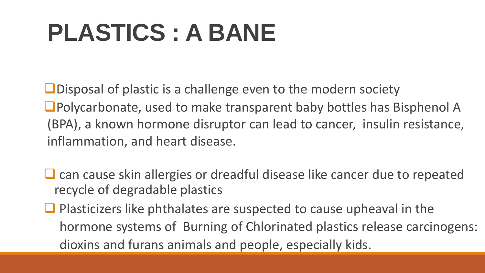# **PLASTICS : A BANE**

**ODisposal of plastic is a challenge even to the modern society** ■Polycarbonate, used to make transparent baby bottles has Bisphenol A (BPA), a known hormone disruptor can lead to cancer, insulin resistance, inflammation, and heart disease.

- $\Box$  can cause skin allergies or dreadful disease like cancer due to repeated recycle of degradable plastics
- $\Box$  Plasticizers like phthalates are suspected to cause upheaval in the hormone systems of Burning of Chlorinated plastics release carcinogens: dioxins and furans animals and people, especially kids.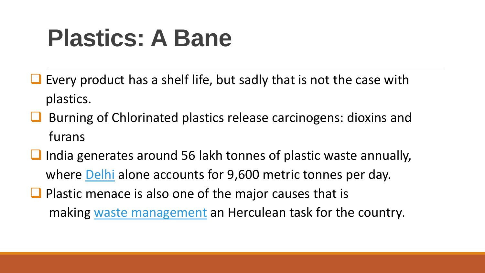# **Plastics: A Bane**

- Every product has a shelf life, but sadly that is not the case with plastics.
- Burning of Chlorinated plastics release carcinogens: dioxins and furans
- $\Box$  India generates around 56 lakh tonnes of plastic waste annually, where [Delhi](http://swachhindia.ndtv.com/delhis-waste-responsible-killing-aquatic-life-yamuna-river-2095/) alone accounts for 9,600 metric tonnes per day.
- $\Box$  Plastic menace is also one of the major causes that is making [waste management](http://swachhindia.ndtv.com/tag/waste-management/) an Herculean task for the country.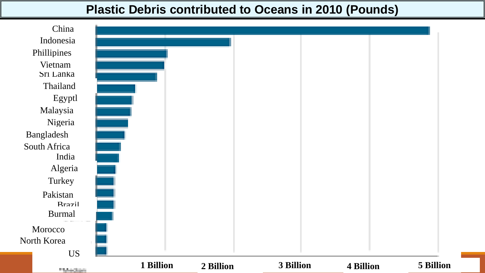#### **Plastic Debris contributed to Oceans in 2010 (Pounds)**

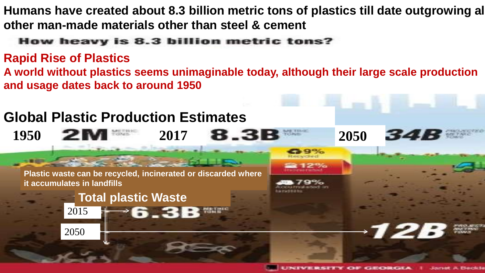**Humans have created about 8.3 billion metric tons of plastics till date outgrowing all other man-made materials other than steel & cement**

#### How heavy is 8.3 billion metric tons?

#### **Rapid Rise of Plastics**

**A world without plastics seems unimaginable today, although their large scale production and usage dates back to around 1950**

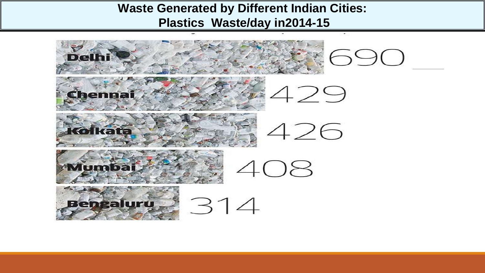#### **Waste Generated by Different Indian Cities: Plastics Waste/day in2014-15**

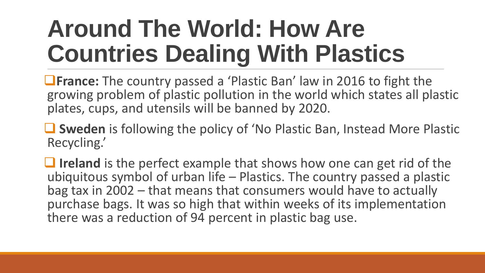# **Around The World: How Are Countries Dealing With Plastics**

**The country passed a 'Plastic Ban' law in 2016 to fight the** growing problem of plastic pollution in the world which states all plastic plates, cups, and utensils will be banned by 2020.

■ Sweden is following the policy of 'No Plastic Ban, Instead More Plastic Recycling.'

**I** Ireland is the perfect example that shows how one can get rid of the ubiquitous symbol of urban life – Plastics. The country passed a plastic bag tax in 2002 – that means that consumers would have to actually purchase bags. It was so high that within weeks of its implementation there was a reduction of 94 percent in plastic bag use.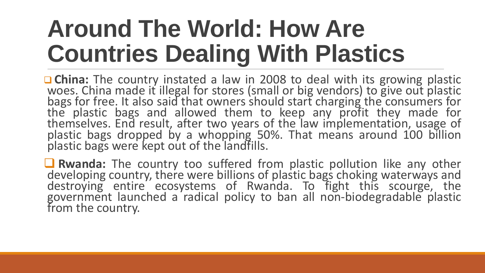# **Around The World: How Are Countries Dealing With Plastics**

■ China: The country instated a law in 2008 to deal with its growing plastic woes. China made it illegal for stores (small or big vendors) to give out plastic bags for free. It also said that owners should start charging the consumers for the plastic bags and allowed them to keep any profit they made for themselves. End result, after two years of the law implementation, usage of plastic bags dropped by a whopping 50%. That means around 100 billion plastic bags were kept out of the landfills.

 **Rwanda:** The country too suffered from plastic pollution like any other developing country, there were billions of plastic bags choking waterways and destroying entire ecosystems of Rwanda. To fight this scourge, the government launched a radical policy to ban all non-biodegradable plastic from the country.